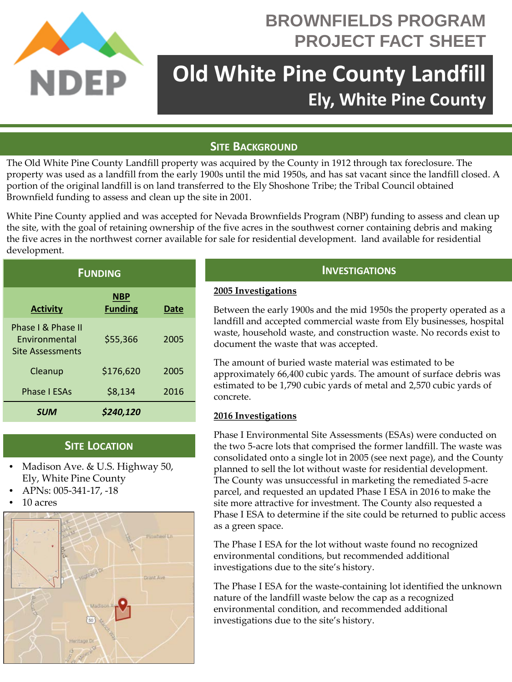

# **BROWNFIELDS PROGRAM PROJECT FACT SHEET**

# **Old White Pine County Landfill Ely, White Pine County**

# **SITE BACKGROUND**

The Old White Pine County Landfill property was acquired by the County in 1912 through tax foreclosure. The property was used as a landfill from the early 1900s until the mid 1950s, and has sat vacant since the landfill closed. A portion of the original landfill is on land transferred to the Ely Shoshone Tribe; the Tribal Council obtained Brownfield funding to assess and clean up the site in 2001.

White Pine County applied and was accepted for Nevada Brownfields Program (NBP) funding to assess and clean up the site, with the goal of retaining ownership of the five acres in the southwest corner containing debris and making the five acres in the northwest corner available for sale for residential development. land available for residential development.

| <b>FUNDING</b>                                                        |                              |      |
|-----------------------------------------------------------------------|------------------------------|------|
| <b>Activity</b>                                                       | <b>NBP</b><br><b>Funding</b> | Date |
| Phase I & Phase II<br><b>Fnvironmental</b><br><b>Site Assessments</b> | \$55,366                     | 2005 |
| Cleanup                                                               | \$176,620                    | 2005 |
| <b>Phase I ESAs</b>                                                   | \$8,134                      | 2016 |
| SUM                                                                   | \$240,120                    |      |

## **SITE LOCATION**

- Madison Ave. & U.S. Highway 50, Ely, White Pine County
- APNs: 005-341-17, -18
- 10 acres



# **INVESTIGATIONS**

#### **2005 Investigations**

Between the early 1900s and the mid 1950s the property operated as a landfill and accepted commercial waste from Ely businesses, hospital waste, household waste, and construction waste. No records exist to document the waste that was accepted.

The amount of buried waste material was estimated to be approximately 66,400 cubic yards. The amount of surface debris was estimated to be 1,790 cubic yards of metal and 2,570 cubic yards of concrete.

#### **2016 Investigations**

Phase I Environmental Site Assessments (ESAs) were conducted on the two 5-acre lots that comprised the former landfill. The waste was consolidated onto a single lot in 2005 (see next page), and the County planned to sell the lot without waste for residential development. The County was unsuccessful in marketing the remediated 5-acre parcel, and requested an updated Phase I ESA in 2016 to make the site more attractive for investment. The County also requested a Phase I ESA to determine if the site could be returned to public access as a green space.

The Phase I ESA for the lot without waste found no recognized environmental conditions, but recommended additional investigations due to the site's history.

The Phase I ESA for the waste-containing lot identified the unknown nature of the landfill waste below the cap as a recognized environmental condition, and recommended additional investigations due to the site's history.